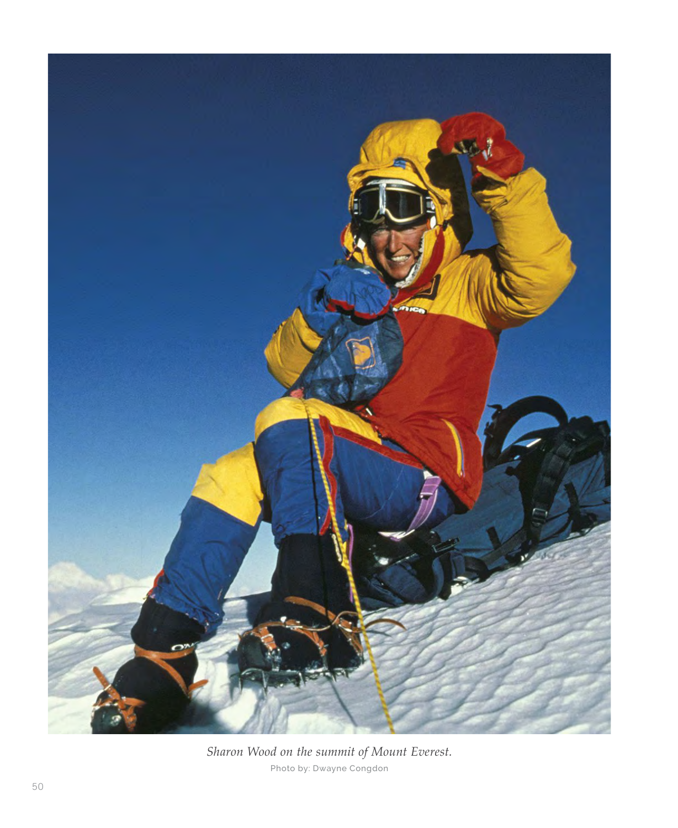

*Sharon Wood on the summit of Mount Everest.*  Photo by: Dwayne Congdon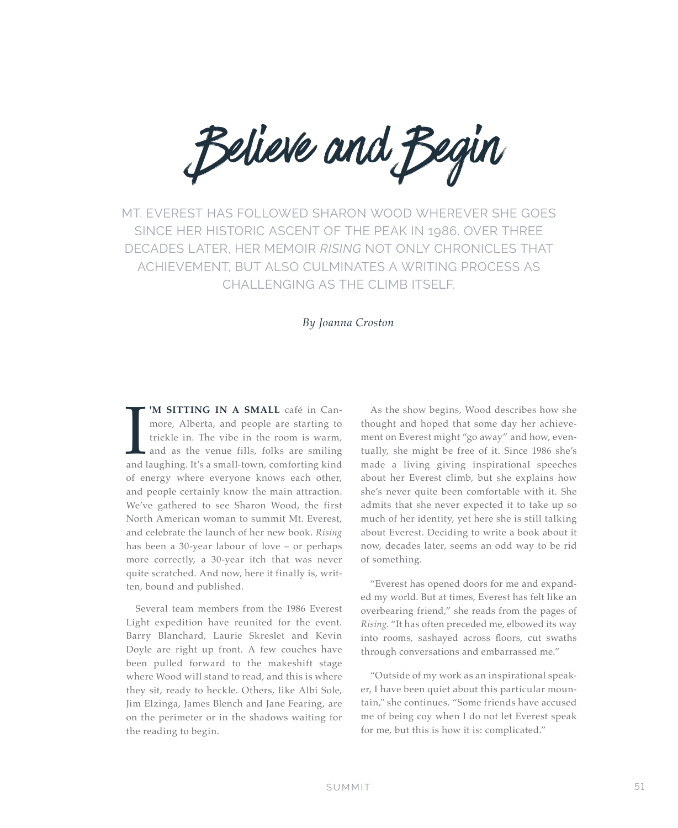Believe and Begin

MT. EVEREST HAS FOLLOWED SHARON WOOD WHEREVER SHE GOES SINCE HER HISTORIC ASCENT OF THE PEAK IN 1986. OVER THREE DECADES LATER, HER MEMOIR *RISING* NOT ONLY CHRONICLES THAT ACHIEVEMENT, BUT ALSO CULMINATES A WRITING PROCESS AS CHALLENGING AS THE CLIMB ITSELF.

#### *By Joanna Croston*

IM SITTING IN A SMALL café in Can-<br>more, Alberta, and people are starting to<br>trickle in. The vibe in the room is warm,<br>and as the venue fills, folks are smiling<br>and laughing. It's a small-town, comforting kind more, Alberta, and people are starting to trickle in. The vibe in the room is warm, and as the venue fills, folks are smiling of energy where everyone knows each other, and people certainly know the main attraction. We've gathered to see Sharon Wood, the first North American woman to summit Mt. Everest, and celebrate the launch of her new book. *Rising* has been a 30-year labour of love – or perhaps more correctly, a 30-year itch that was never quite scratched. And now, here it finally is, written, bound and published.

Several team members from the 1986 Everest Light expedition have reunited for the event. Barry Blanchard, Laurie Skreslet and Kevin Doyle are right up front. A few couches have been pulled forward to the makeshift stage where Wood will stand to read, and this is where they sit, ready to heckle. Others, like Albi Sole, Jim Elzinga, James Blench and Jane Fearing, are on the perimeter or in the shadows waiting for the reading to begin.

As the show begins, Wood describes how she thought and hoped that some day her achievement on Everest might "go away" and how, eventually, she might be free of it. Since 1986 she's made a living giving inspirational speeches about her Everest climb, but she explains how she's never quite been comfortable with it. She admits that she never expected it to take up so much of her identity, yet here she is still talking about Everest. Deciding to write a book about it now, decades later, seems an odd way to be rid of something.

"Everest has opened doors for me and expanded my world. But at times, Everest has felt like an overbearing friend," she reads from the pages of *Rising*. "It has often preceded me, elbowed its way into rooms, sashayed across floors, cut swaths through conversations and embarrassed me."

"Outside of my work as an inspirational speaker, I have been quiet about this particular mountain," she continues. "Some friends have accused me of being coy when I do not let Everest speak for me, but this is how it is: complicated."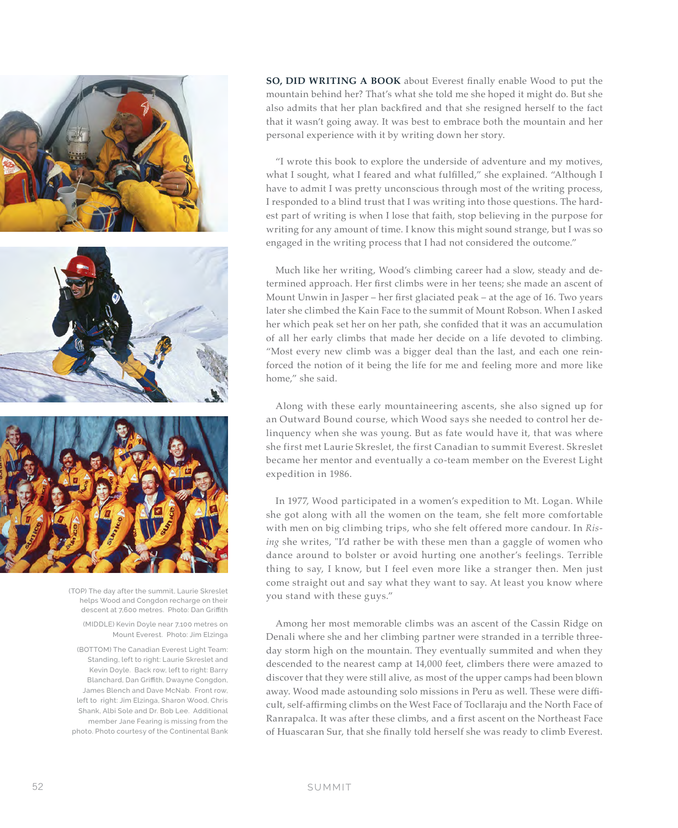

(TOP) The day after the summit, Laurie Skreslet helps Wood and Congdon recharge on their descent at 7,600 metres. Photo: Dan Griffith

(MIDDLE) Kevin Doyle near 7,100 metres on Mount Everest. Photo: Jim Elzinga

(BOTTOM) The Canadian Everest Light Team: Standing, left to right: Laurie Skreslet and Kevin Doyle. Back row, left to right: Barry Blanchard, Dan Griffith, Dwayne Congdon, James Blench and Dave McNab. Front row, left to right: Jim Elzinga, Sharon Wood, Chris Shank, Albi Sole and Dr. Bob Lee. Additional member Jane Fearing is missing from the photo. Photo courtesy of the Continental Bank **SO, DID WRITING A BOOK** about Everest finally enable Wood to put the mountain behind her? That's what she told me she hoped it might do. But she also admits that her plan backfired and that she resigned herself to the fact that it wasn't going away. It was best to embrace both the mountain and her personal experience with it by writing down her story.

"I wrote this book to explore the underside of adventure and my motives, what I sought, what I feared and what fulfilled," she explained. "Although I have to admit I was pretty unconscious through most of the writing process, I responded to a blind trust that I was writing into those questions. The hardest part of writing is when I lose that faith, stop believing in the purpose for writing for any amount of time. I know this might sound strange, but I was so engaged in the writing process that I had not considered the outcome."

Much like her writing, Wood's climbing career had a slow, steady and determined approach. Her first climbs were in her teens; she made an ascent of Mount Unwin in Jasper – her first glaciated peak – at the age of 16. Two years later she climbed the Kain Face to the summit of Mount Robson. When I asked her which peak set her on her path, she confided that it was an accumulation of all her early climbs that made her decide on a life devoted to climbing. "Most every new climb was a bigger deal than the last, and each one reinforced the notion of it being the life for me and feeling more and more like home," she said.

Along with these early mountaineering ascents, she also signed up for an Outward Bound course, which Wood says she needed to control her delinquency when she was young. But as fate would have it, that was where she first met Laurie Skreslet, the first Canadian to summit Everest. Skreslet became her mentor and eventually a co-team member on the Everest Light expedition in 1986.

In 1977, Wood participated in a women's expedition to Mt. Logan. While she got along with all the women on the team, she felt more comfortable with men on big climbing trips, who she felt offered more candour. In *Rising* she writes, "I'd rather be with these men than a gaggle of women who dance around to bolster or avoid hurting one another's feelings. Terrible thing to say, I know, but I feel even more like a stranger then. Men just come straight out and say what they want to say. At least you know where you stand with these guys."

Among her most memorable climbs was an ascent of the Cassin Ridge on Denali where she and her climbing partner were stranded in a terrible threeday storm high on the mountain. They eventually summited and when they descended to the nearest camp at 14,000 feet, climbers there were amazed to discover that they were still alive, as most of the upper camps had been blown away. Wood made astounding solo missions in Peru as well. These were difficult, self-affirming climbs on the West Face of Tocllaraju and the North Face of Ranrapalca. It was after these climbs, and a first ascent on the Northeast Face of Huascaran Sur, that she finally told herself she was ready to climb Everest.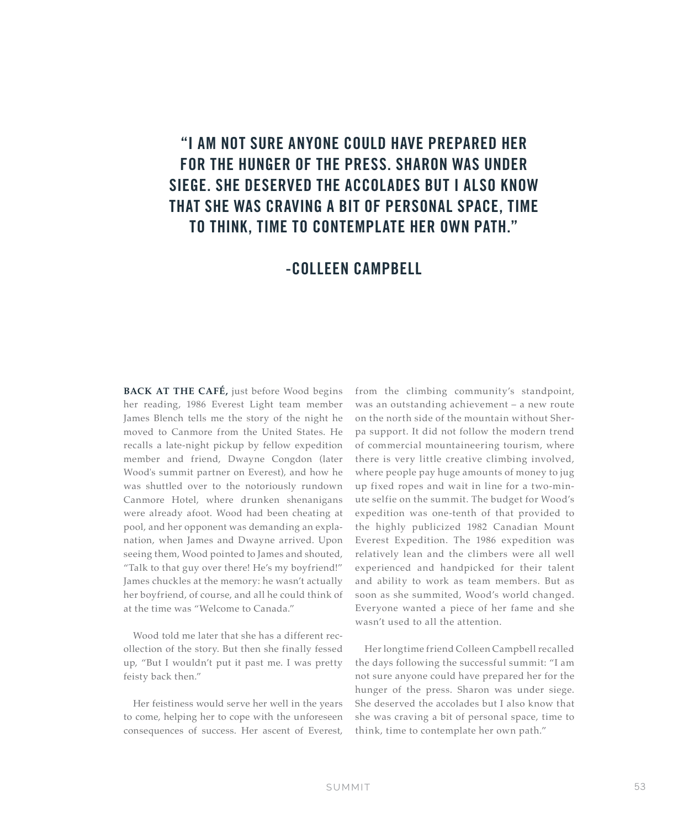# "I AM NOT SURE ANYONE COULD HAVE PREPARED HER FOR THE HUNGER OF THE PRESS. SHARON WAS UNDER SIEGE. SHE DESERVED THE ACCOLADES BUT I ALSO KNOW THAT SHE WAS CRAVING A BIT OF PERSONAL SPACE, TIME TO THINK, TIME TO CONTEMPLATE HER OWN PATH."

### -COLLEEN CAMPBELL

**BACK AT THE CAFÉ,** just before Wood begins her reading, 1986 Everest Light team member James Blench tells me the story of the night he moved to Canmore from the United States. He recalls a late-night pickup by fellow expedition member and friend, Dwayne Congdon (later Wood's summit partner on Everest), and how he was shuttled over to the notoriously rundown Canmore Hotel, where drunken shenanigans were already afoot. Wood had been cheating at pool, and her opponent was demanding an explanation, when James and Dwayne arrived. Upon seeing them, Wood pointed to James and shouted, "Talk to that guy over there! He's my boyfriend!" James chuckles at the memory: he wasn't actually her boyfriend, of course, and all he could think of at the time was "Welcome to Canada."

Wood told me later that she has a different recollection of the story. But then she finally fessed up, "But I wouldn't put it past me. I was pretty feisty back then."

Her feistiness would serve her well in the years to come, helping her to cope with the unforeseen consequences of success. Her ascent of Everest,

from the climbing community's standpoint, was an outstanding achievement – a new route on the north side of the mountain without Sherpa support. It did not follow the modern trend of commercial mountaineering tourism, where there is very little creative climbing involved, where people pay huge amounts of money to jug up fixed ropes and wait in line for a two-minute selfie on the summit. The budget for Wood's expedition was one-tenth of that provided to the highly publicized 1982 Canadian Mount Everest Expedition. The 1986 expedition was relatively lean and the climbers were all well experienced and handpicked for their talent and ability to work as team members. But as soon as she summited, Wood's world changed. Everyone wanted a piece of her fame and she wasn't used to all the attention.

Her longtime friend Colleen Campbell recalled the days following the successful summit: "I am not sure anyone could have prepared her for the hunger of the press. Sharon was under siege. She deserved the accolades but I also know that she was craving a bit of personal space, time to think, time to contemplate her own path."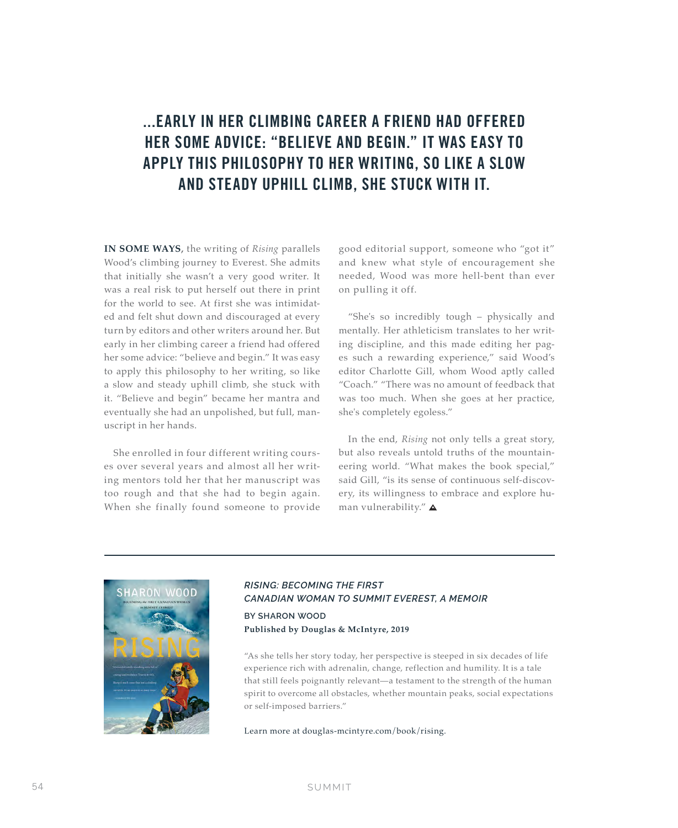## ...EARLY IN HER CLIMBING CAREER A FRIEND HAD OFFERED HER SOME ADVICE: "BELIEVE AND BEGIN." IT WAS EASY TO APPLY THIS PHILOSOPHY TO HER WRITING, SO LIKE A SLOW AND STEADY UPHILL CLIMB, SHE STUCK WITH IT.

**IN SOME WAYS,** the writing of *Rising* parallels Wood's climbing journey to Everest. She admits that initially she wasn't a very good writer. It was a real risk to put herself out there in print for the world to see. At first she was intimidated and felt shut down and discouraged at every turn by editors and other writers around her. But early in her climbing career a friend had offered her some advice: "believe and begin." It was easy to apply this philosophy to her writing, so like a slow and steady uphill climb, she stuck with it. "Believe and begin" became her mantra and eventually she had an unpolished, but full, manuscript in her hands.

She enrolled in four different writing courses over several years and almost all her writing mentors told her that her manuscript was too rough and that she had to begin again. When she finally found someone to provide

good editorial support, someone who "got it" and knew what style of encouragement she needed, Wood was more hell-bent than ever on pulling it off.

"She's so incredibly tough – physically and mentally. Her athleticism translates to her writing discipline, and this made editing her pages such a rewarding experience," said Wood's editor Charlotte Gill, whom Wood aptly called "Coach." "There was no amount of feedback that was too much. When she goes at her practice, she's completely egoless."

In the end, *Rising* not only tells a great story, but also reveals untold truths of the mountaineering world. "What makes the book special," said Gill, "is its sense of continuous self-discovery, its willingness to embrace and explore human vulnerability." $\triangle$ 



### *RISING: BECOMING THE FIRST CANADIAN WOMAN TO SUMMIT EVEREST, A MEMOIR* **BY SHARON WOOD Published by Douglas & McIntyre, 2019**

"As she tells her story today, her perspective is steeped in six decades of life experience rich with adrenalin, change, reflection and humility. It is a tale that still feels poignantly relevant—a testament to the strength of the human spirit to overcome all obstacles, whether mountain peaks, social expectations

Learn more at douglas-mcintyre.com/book/rising.

or self-imposed barriers."